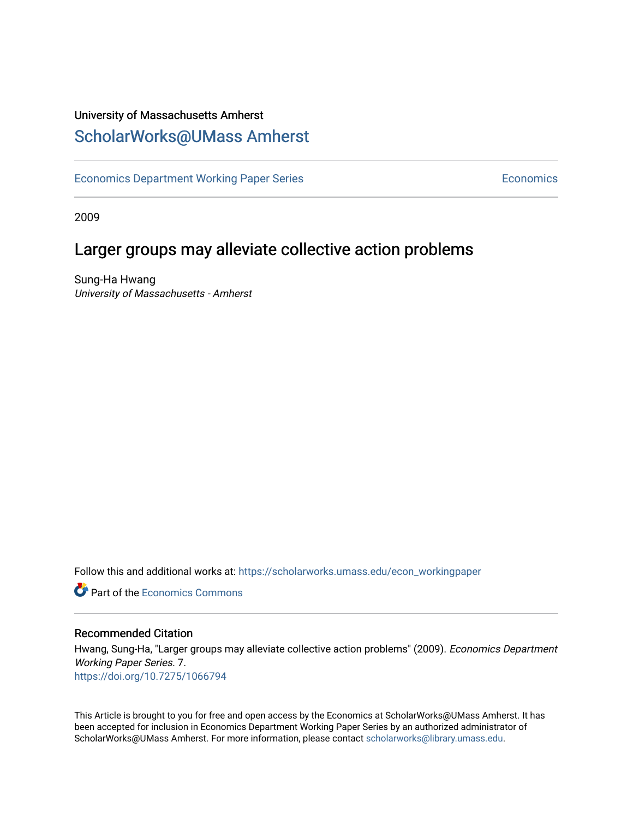# University of Massachusetts Amherst [ScholarWorks@UMass Amherst](https://scholarworks.umass.edu/)

[Economics Department Working Paper Series](https://scholarworks.umass.edu/econ_workingpaper) **Economics** Economics

2009

### Larger groups may alleviate collective action problems

Sung-Ha Hwang University of Massachusetts - Amherst

Follow this and additional works at: [https://scholarworks.umass.edu/econ\\_workingpaper](https://scholarworks.umass.edu/econ_workingpaper?utm_source=scholarworks.umass.edu%2Fecon_workingpaper%2F7&utm_medium=PDF&utm_campaign=PDFCoverPages) 

**C** Part of the [Economics Commons](http://network.bepress.com/hgg/discipline/340?utm_source=scholarworks.umass.edu%2Fecon_workingpaper%2F7&utm_medium=PDF&utm_campaign=PDFCoverPages)

#### Recommended Citation

Hwang, Sung-Ha, "Larger groups may alleviate collective action problems" (2009). Economics Department Working Paper Series. 7. <https://doi.org/10.7275/1066794>

This Article is brought to you for free and open access by the Economics at ScholarWorks@UMass Amherst. It has been accepted for inclusion in Economics Department Working Paper Series by an authorized administrator of ScholarWorks@UMass Amherst. For more information, please contact [scholarworks@library.umass.edu.](mailto:scholarworks@library.umass.edu)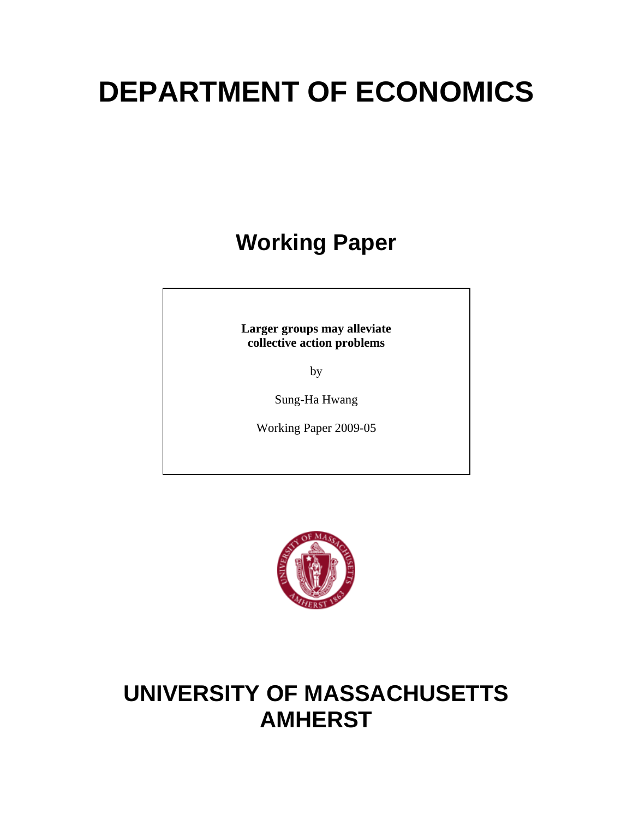# **DEPARTMENT OF ECONOMICS**

# **Working Paper**

**Larger groups may alleviate collective action problems** 

by

Sung-Ha Hwang

Working Paper 2009-05



# **UNIVERSITY OF MASSACHUSETTS AMHERST**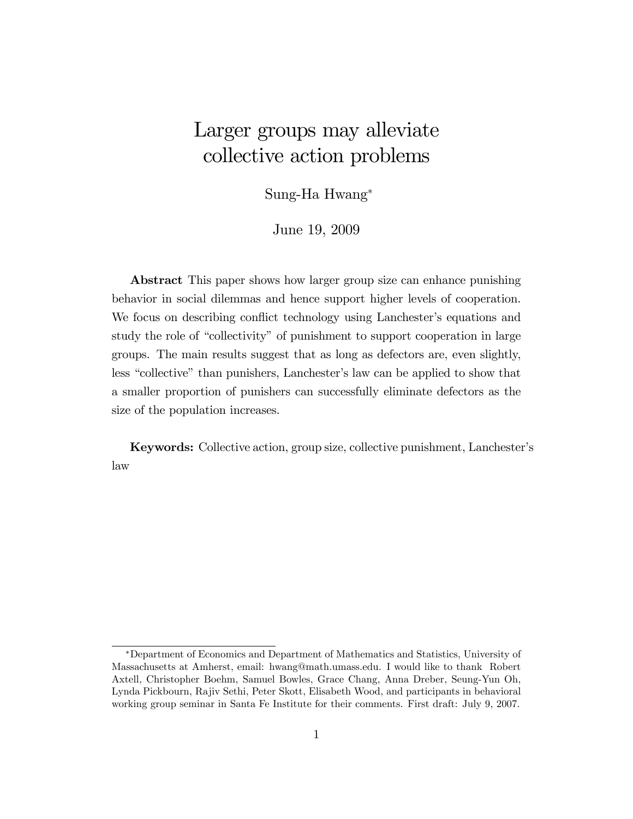# Larger groups may alleviate collective action problems

Sung-Ha Hwang

June 19, 2009

Abstract This paper shows how larger group size can enhance punishing behavior in social dilemmas and hence support higher levels of cooperation. We focus on describing conflict technology using Lanchester's equations and study the role of "collectivity" of punishment to support cooperation in large groups. The main results suggest that as long as defectors are, even slightly, less "collective" than punishers, Lanchester's law can be applied to show that a smaller proportion of punishers can successfully eliminate defectors as the size of the population increases.

Keywords: Collective action, group size, collective punishment, Lanchesterís law

Department of Economics and Department of Mathematics and Statistics, University of Massachusetts at Amherst, email: hwang@math.umass.edu. I would like to thank Robert Axtell, Christopher Boehm, Samuel Bowles, Grace Chang, Anna Dreber, Seung-Yun Oh, Lynda Pickbourn, Rajiv Sethi, Peter Skott, Elisabeth Wood, and participants in behavioral working group seminar in Santa Fe Institute for their comments. First draft: July 9, 2007.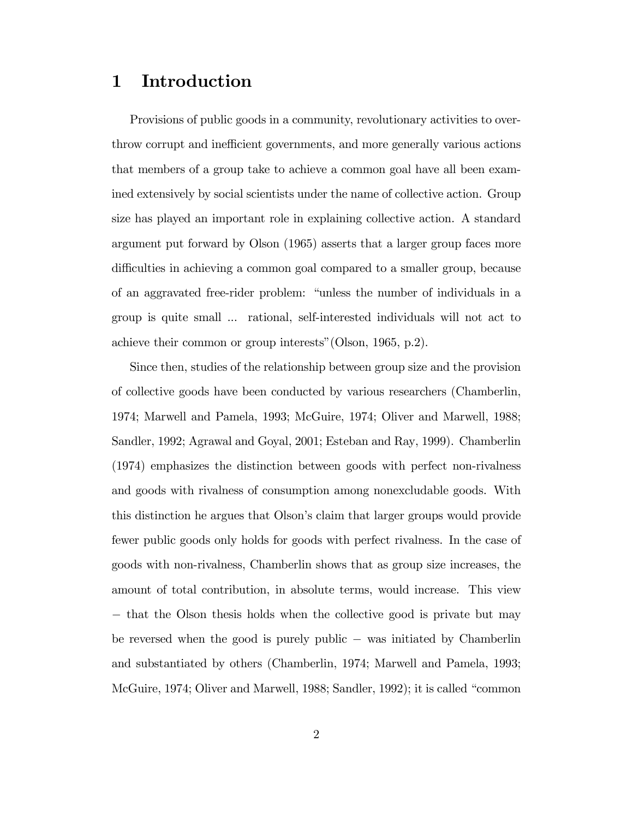### 1 Introduction

Provisions of public goods in a community, revolutionary activities to overthrow corrupt and inefficient governments, and more generally various actions that members of a group take to achieve a common goal have all been examined extensively by social scientists under the name of collective action. Group size has played an important role in explaining collective action. A standard argument put forward by Olson (1965) asserts that a larger group faces more difficulties in achieving a common goal compared to a smaller group, because of an aggravated free-rider problem: "unless the number of individuals in a group is quite small ... rational, self-interested individuals will not act to achieve their common or group interests" (Olson, 1965, p.2).

Since then, studies of the relationship between group size and the provision of collective goods have been conducted by various researchers (Chamberlin, 1974; Marwell and Pamela, 1993; McGuire, 1974; Oliver and Marwell, 1988; Sandler, 1992; Agrawal and Goyal, 2001; Esteban and Ray, 1999). Chamberlin (1974) emphasizes the distinction between goods with perfect non-rivalness and goods with rivalness of consumption among nonexcludable goods. With this distinction he argues that Olson's claim that larger groups would provide fewer public goods only holds for goods with perfect rivalness. In the case of goods with non-rivalness, Chamberlin shows that as group size increases, the amount of total contribution, in absolute terms, would increase. This view  $-$  that the Olson thesis holds when the collective good is private but may be reversed when the good is purely public  $-$  was initiated by Chamberlin and substantiated by others (Chamberlin, 1974; Marwell and Pamela, 1993; McGuire, 1974; Oliver and Marwell, 1988; Sandler, 1992); it is called "common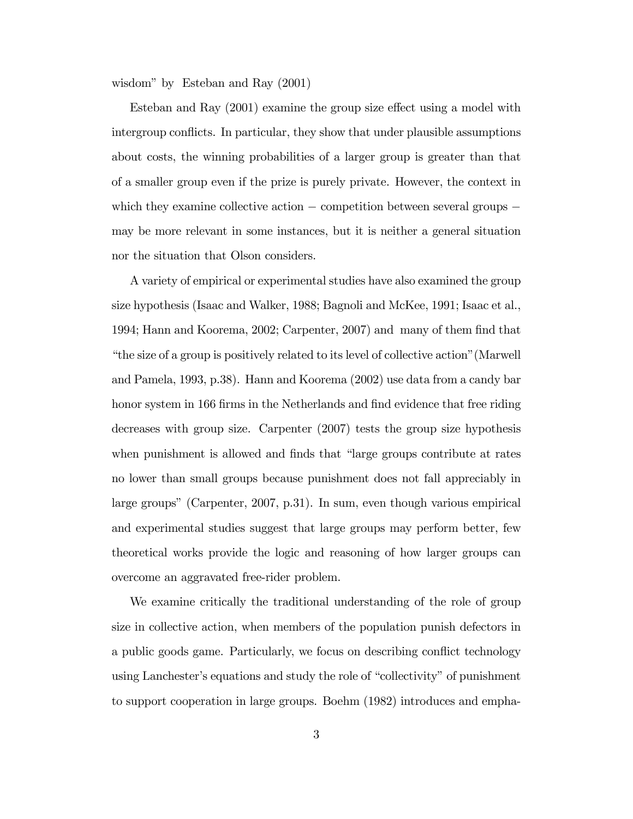wisdom" by Esteban and Ray  $(2001)$ 

Esteban and Ray  $(2001)$  examine the group size effect using a model with intergroup conflicts. In particular, they show that under plausible assumptions about costs, the winning probabilities of a larger group is greater than that of a smaller group even if the prize is purely private. However, the context in which they examine collective action  $\sim$  competition between several groups  $\sim$ may be more relevant in some instances, but it is neither a general situation nor the situation that Olson considers.

A variety of empirical or experimental studies have also examined the group size hypothesis (Isaac and Walker, 1988; Bagnoli and McKee, 1991; Isaac et al., 1994; Hann and Koorema, 2002; Carpenter, 2007) and many of them Önd that ìthe size of a group is positively related to its level of collective actionî(Marwell and Pamela, 1993, p.38). Hann and Koorema (2002) use data from a candy bar honor system in 166 firms in the Netherlands and find evidence that free riding decreases with group size. Carpenter (2007) tests the group size hypothesis when punishment is allowed and finds that "large groups contribute at rates" no lower than small groups because punishment does not fall appreciably in large groups" (Carpenter, 2007, p.31). In sum, even though various empirical and experimental studies suggest that large groups may perform better, few theoretical works provide the logic and reasoning of how larger groups can overcome an aggravated free-rider problem.

We examine critically the traditional understanding of the role of group size in collective action, when members of the population punish defectors in a public goods game. Particularly, we focus on describing conflict technology using Lanchester's equations and study the role of "collectivity" of punishment to support cooperation in large groups. Boehm (1982) introduces and empha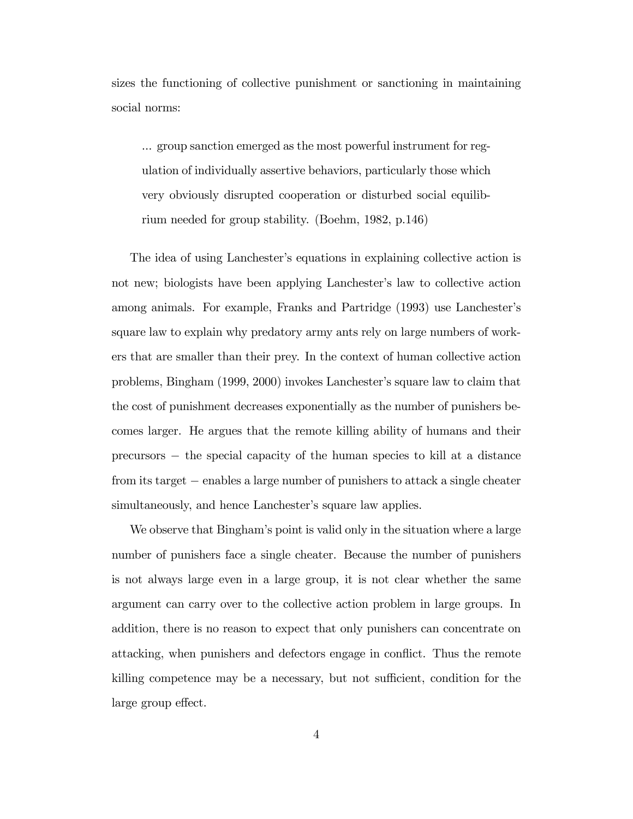sizes the functioning of collective punishment or sanctioning in maintaining social norms:

... group sanction emerged as the most powerful instrument for regulation of individually assertive behaviors, particularly those which very obviously disrupted cooperation or disturbed social equilibrium needed for group stability. (Boehm, 1982, p.146)

The idea of using Lanchester's equations in explaining collective action is not new; biologists have been applying Lanchester's law to collective action among animals. For example, Franks and Partridge (1993) use Lanchesterís square law to explain why predatory army ants rely on large numbers of workers that are smaller than their prey. In the context of human collective action problems, Bingham (1999, 2000) invokes Lanchesterís square law to claim that the cost of punishment decreases exponentially as the number of punishers becomes larger. He argues that the remote killing ability of humans and their precursors the special capacity of the human species to kill at a distance from its target – enables a large number of punishers to attack a single cheater simultaneously, and hence Lanchester's square law applies.

We observe that Bingham's point is valid only in the situation where a large number of punishers face a single cheater. Because the number of punishers is not always large even in a large group, it is not clear whether the same argument can carry over to the collective action problem in large groups. In addition, there is no reason to expect that only punishers can concentrate on attacking, when punishers and defectors engage in conflict. Thus the remote killing competence may be a necessary, but not sufficient, condition for the large group effect.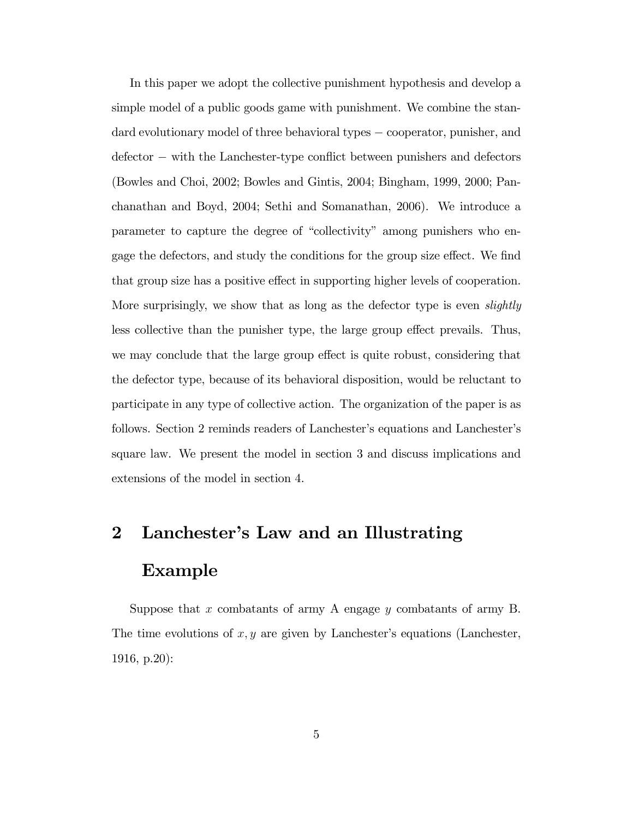In this paper we adopt the collective punishment hypothesis and develop a simple model of a public goods game with punishment. We combine the standard evolutionary model of three behavioral types – cooperator, punisher, and  $defector - with the Lanchester-type conflict between punishers and defectors$ (Bowles and Choi, 2002; Bowles and Gintis, 2004; Bingham, 1999, 2000; Panchanathan and Boyd, 2004; Sethi and Somanathan, 2006). We introduce a parameter to capture the degree of "collectivity" among punishers who engage the defectors, and study the conditions for the group size effect. We find that group size has a positive effect in supporting higher levels of cooperation. More surprisingly, we show that as long as the defector type is even *slightly* less collective than the punisher type, the large group effect prevails. Thus, we may conclude that the large group effect is quite robust, considering that the defector type, because of its behavioral disposition, would be reluctant to participate in any type of collective action. The organization of the paper is as follows. Section 2 reminds readers of Lanchester's equations and Lanchester's square law. We present the model in section 3 and discuss implications and extensions of the model in section 4.

# 2 Lanchester's Law and an Illustrating Example

Suppose that x combatants of army A engage  $y$  combatants of army B. The time evolutions of  $x, y$  are given by Lanchester's equations (Lanchester, 1916, p.20):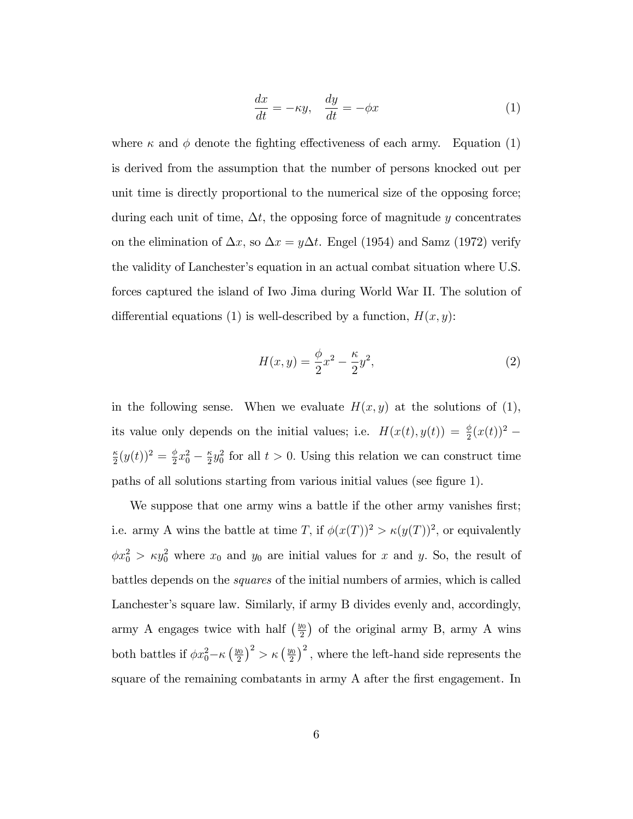$$
\frac{dx}{dt} = -\kappa y, \quad \frac{dy}{dt} = -\phi x \tag{1}
$$

where  $\kappa$  and  $\phi$  denote the fighting effectiveness of each army. Equation (1) is derived from the assumption that the number of persons knocked out per unit time is directly proportional to the numerical size of the opposing force; during each unit of time,  $\Delta t$ , the opposing force of magnitude y concentrates on the elimination of  $\Delta x$ , so  $\Delta x = y\Delta t$ . Engel (1954) and Samz (1972) verify the validity of Lanchester's equation in an actual combat situation where U.S. forces captured the island of Iwo Jima during World War II. The solution of differential equations (1) is well-described by a function,  $H(x, y)$ :

$$
H(x,y) = \frac{\phi}{2}x^2 - \frac{\kappa}{2}y^2,\tag{2}
$$

in the following sense. When we evaluate  $H(x, y)$  at the solutions of (1), its value only depends on the initial values; i.e.  $H(x(t), y(t)) = \frac{\phi}{2}(x(t))^2$  –  $\kappa$  $\frac{\kappa}{2}(y(t))^2 = \frac{\phi}{2}$  $rac{\phi}{2}x_0^2 - \frac{\kappa}{2}$  $\frac{\kappa}{2}y_0^2$  for all  $t > 0$ . Using this relation we can construct time paths of all solutions starting from various initial values (see figure 1).

We suppose that one army wins a battle if the other army vanishes first; i.e. army A wins the battle at time T, if  $\phi(x(T))^2 > \kappa(y(T))^2$ , or equivalently  $\phi x_0^2 > \kappa y_0^2$  where  $x_0$  and  $y_0$  are initial values for x and y. So, the result of battles depends on the squares of the initial numbers of armies, which is called Lanchester's square law. Similarly, if army B divides evenly and, accordingly, army A engages twice with half  $\left(\frac{y_0}{2}\right)$  $\frac{\sqrt{2}}{2}$  of the original army B, army A wins both battles if  $\phi x_0^2 - \kappa \left(\frac{y_0}{2}\right)$  $\left(\frac{y_0}{2}\right)^2 > \kappa \left(\frac{y_0}{2}\right)$  $\left(\frac{y_0}{2}\right)^2$ , where the left-hand side represents the square of the remaining combatants in army A after the first engagement. In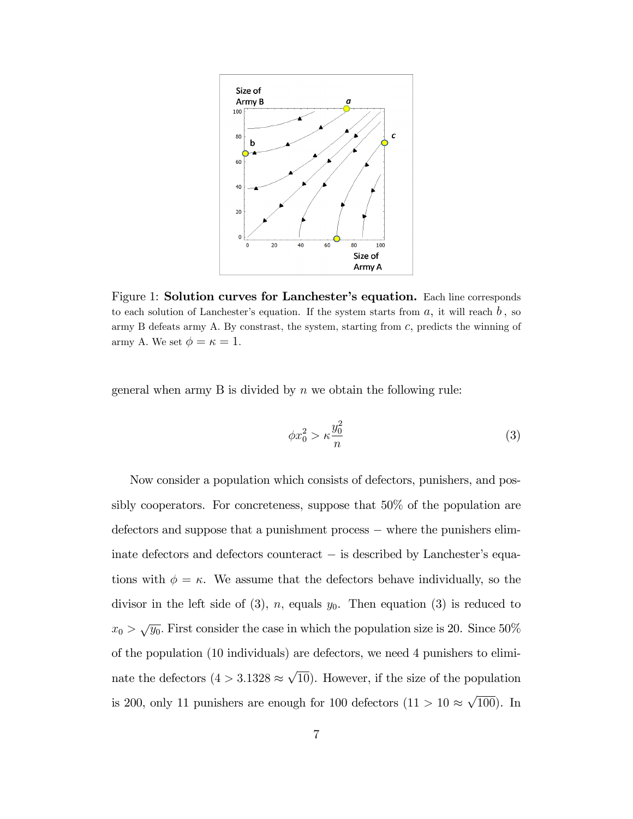

Figure 1: Solution curves for Lanchester's equation. Each line corresponds to each solution of Lanchester's equation. If the system starts from  $a$ , it will reach  $b$ , so army B defeats army A. By constrast, the system, starting from  $c$ , predicts the winning of army A. We set  $\phi = \kappa = 1$ .

general when army  $B$  is divided by  $n$  we obtain the following rule:

$$
\phi x_0^2 > \kappa \frac{y_0^2}{n} \tag{3}
$$

Now consider a population which consists of defectors, punishers, and possibly cooperators. For concreteness, suppose that 50% of the population are  $d$  defectors and suppose that a punishment process  $-\theta$  where the punishers eliminate defectors and defectors counteract  $-$  is described by Lanchester's equations with  $\phi = \kappa$ . We assume that the defectors behave individually, so the divisor in the left side of (3), n, equals  $y_0$ . Then equation (3) is reduced to  $x_0 > \sqrt{y_0}$ . First consider the case in which the population size is 20. Since 50% of the population (10 individuals) are defectors, we need 4 punishers to eliminate the defectors  $(4 > 3.1328 \approx \sqrt{10})$ . However, if the size of the population is 200, only 11 punishers are enough for 100 defectors  $(11 > 10 \approx \sqrt{100})$ . In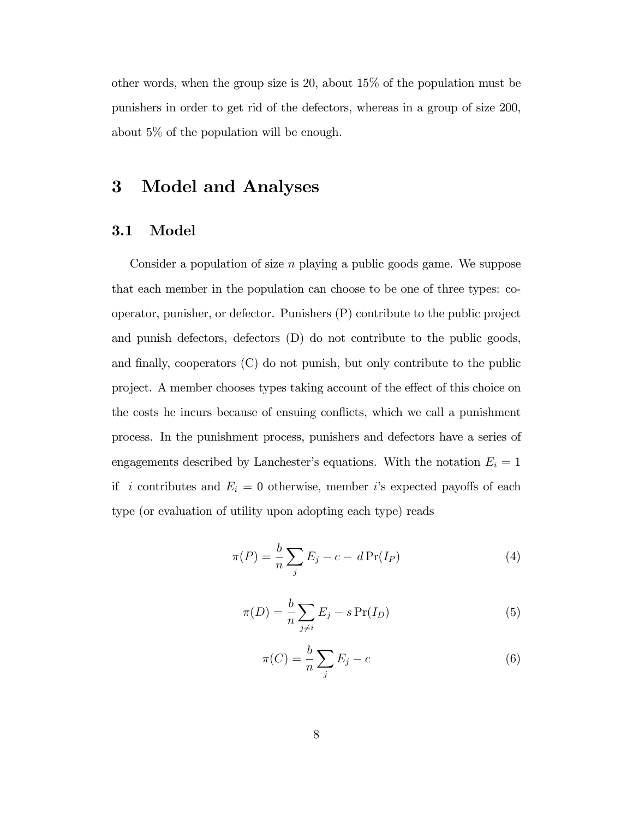other words, when the group size is 20, about 15% of the population must be punishers in order to get rid of the defectors, whereas in a group of size 200, about 5% of the population will be enough.

## 3 Model and Analyses

#### 3.1 Model

Consider a population of size n playing a public goods game. We suppose that each member in the population can choose to be one of three types: cooperator, punisher, or defector. Punishers (P) contribute to the public project and punish defectors, defectors (D) do not contribute to the public goods, and finally, cooperators  $(C)$  do not punish, but only contribute to the public project. A member chooses types taking account of the effect of this choice on the costs he incurs because of ensuing conflicts, which we call a punishment process. In the punishment process, punishers and defectors have a series of engagements described by Lanchester's equations. With the notation  $E_i = 1$ if *i* contributes and  $E_i = 0$  otherwise, member *i*'s expected payoffs of each type (or evaluation of utility upon adopting each type) reads

$$
\pi(P) = \frac{b}{n} \sum_{j} E_j - c - d \Pr(I_P)
$$
\n(4)

$$
\pi(D) = \frac{b}{n} \sum_{j \neq i} E_j - s \Pr(I_D) \tag{5}
$$

$$
\pi(C) = \frac{b}{n} \sum_{j} E_j - c \tag{6}
$$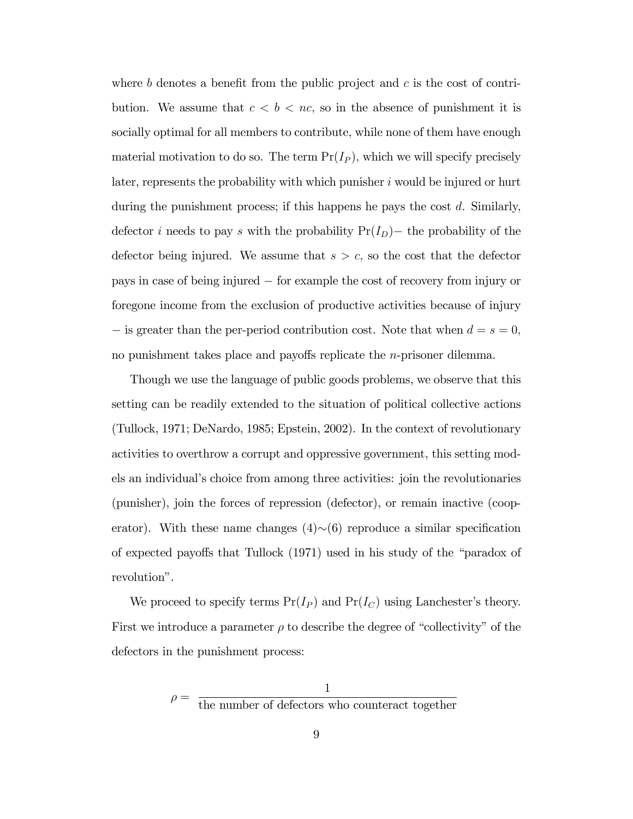where b denotes a benefit from the public project and c is the cost of contribution. We assume that  $c < b < nc$ , so in the absence of punishment it is socially optimal for all members to contribute, while none of them have enough material motivation to do so. The term  $Pr(I_P)$ , which we will specify precisely later, represents the probability with which punisher  $i$  would be injured or hurt during the punishment process; if this happens he pays the cost d. Similarly, defector *i* needs to pay *s* with the probability  $Pr(I_D)$  the probability of the defector being injured. We assume that  $s > c$ , so the cost that the defector pays in case of being injured for example the cost of recovery from injury or foregone income from the exclusion of productive activities because of injury  $\overline{\phantom{a}}$  is greater than the per-period contribution cost. Note that when  $d = s = 0$ , no punishment takes place and payoffs replicate the  $n$ -prisoner dilemma.

Though we use the language of public goods problems, we observe that this setting can be readily extended to the situation of political collective actions (Tullock, 1971; DeNardo, 1985; Epstein, 2002). In the context of revolutionary activities to overthrow a corrupt and oppressive government, this setting models an individualís choice from among three activities: join the revolutionaries (punisher), join the forces of repression (defector), or remain inactive (cooperator). With these name changes  $(4)$  $\sim$ (6) reproduce a similar specification of expected payoffs that Tullock  $(1971)$  used in his study of the "paradox of revolution".

We proceed to specify terms  $Pr(I_P)$  and  $Pr(I_C)$  using Lanchester's theory. First we introduce a parameter  $\rho$  to describe the degree of "collectivity" of the defectors in the punishment process: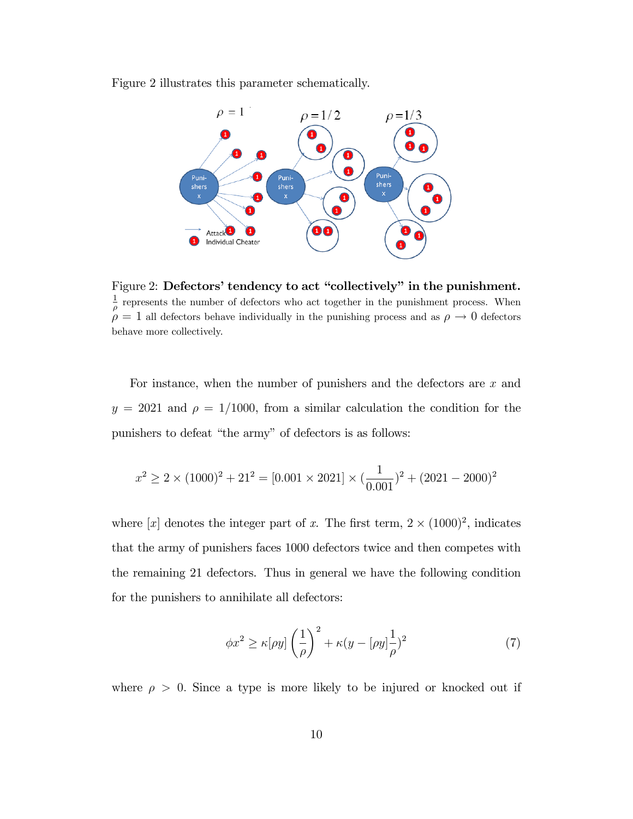Figure 2 illustrates this parameter schematically.

![](_page_11_Figure_1.jpeg)

Figure 2: Defectors' tendency to act "collectively" in the punishment. 1  $\frac{1}{\rho}$  represents the number of defectors who act together in the punishment process. When  $\stackrel{\sim}{\rho} = 1$  all defectors behave individually in the punishing process and as  $\rho \to 0$  defectors behave more collectively.

For instance, when the number of punishers and the defectors are x and  $y = 2021$  and  $\rho = 1/1000$ , from a similar calculation the condition for the punishers to defeat "the army" of defectors is as follows:

$$
x^{2} \ge 2 \times (1000)^{2} + 21^{2} = [0.001 \times 2021] \times (\frac{1}{0.001})^{2} + (2021 - 2000)^{2}
$$

where [x] denotes the integer part of x. The first term,  $2 \times (1000)^2$ , indicates that the army of punishers faces 1000 defectors twice and then competes with the remaining 21 defectors. Thus in general we have the following condition for the punishers to annihilate all defectors:

$$
\phi x^2 \ge \kappa[\rho y] \left(\frac{1}{\rho}\right)^2 + \kappa (y - [\rho y] \frac{1}{\rho})^2 \tag{7}
$$

where  $\rho > 0$ . Since a type is more likely to be injured or knocked out if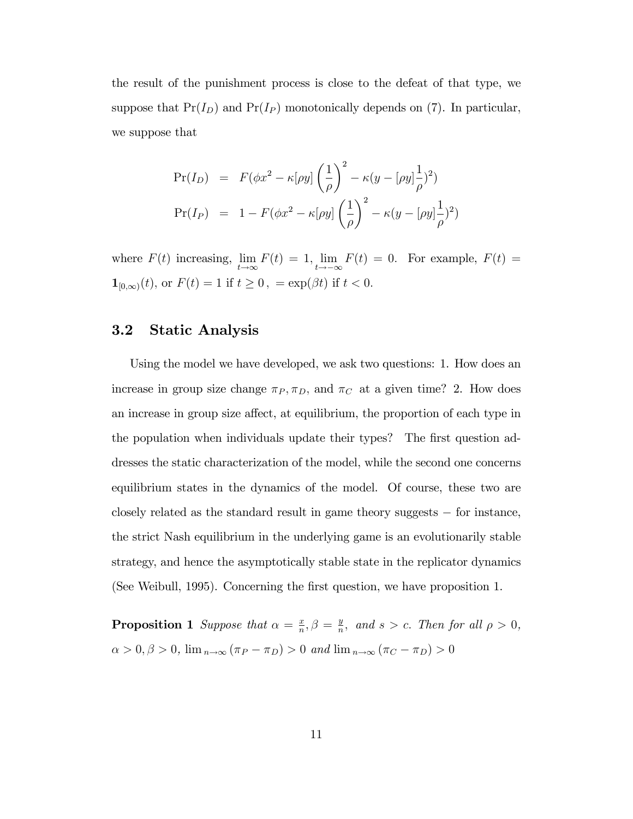the result of the punishment process is close to the defeat of that type, we suppose that  $Pr(I_D)$  and  $Pr(I_P)$  monotonically depends on (7). In particular, we suppose that

$$
\Pr(I_D) = F(\phi x^2 - \kappa[\rho y] \left(\frac{1}{\rho}\right)^2 - \kappa(y - [\rho y] \frac{1}{\rho})^2)
$$
  

$$
\Pr(I_P) = 1 - F(\phi x^2 - \kappa[\rho y] \left(\frac{1}{\rho}\right)^2 - \kappa(y - [\rho y] \frac{1}{\rho})^2)
$$

where  $F(t)$  increasing, lim  $t{\rightarrow}\infty$  $F(t) = 1$ , lim  $t \rightarrow -\infty$  $F(t) = 0$ . For example,  $F(t) =$  $\mathbf{1}_{[0,\infty)}(t), \, \text{or} \, F(t) = 1 \, \, \text{if} \, \, t \geq 0 \, , \, = \exp(\beta t) \, \, \text{if} \, \, t < 0.$ 

#### 3.2 Static Analysis

Using the model we have developed, we ask two questions: 1. How does an increase in group size change  $\pi_P, \pi_D,$  and  $\pi_C$  at a given time? 2. How does an increase in group size affect, at equilibrium, the proportion of each type in the population when individuals update their types? The first question addresses the static characterization of the model, while the second one concerns equilibrium states in the dynamics of the model. Of course, these two are closely related as the standard result in game theory suggests  $-$  for instance, the strict Nash equilibrium in the underlying game is an evolutionarily stable strategy, and hence the asymptotically stable state in the replicator dynamics (See Weibull, 1995). Concerning the Örst question, we have proposition 1.

**Proposition 1** Suppose that  $\alpha = \frac{x}{n}$  $\frac{x}{n}, \beta = \frac{y}{n}$  $\frac{y}{n}$ , and  $s > c$ . Then for all  $\rho > 0$ ,  $\alpha > 0, \beta > 0$ ,  $\lim_{n \to \infty} (\pi_P - \pi_D) > 0$  and  $\lim_{n \to \infty} (\pi_C - \pi_D) > 0$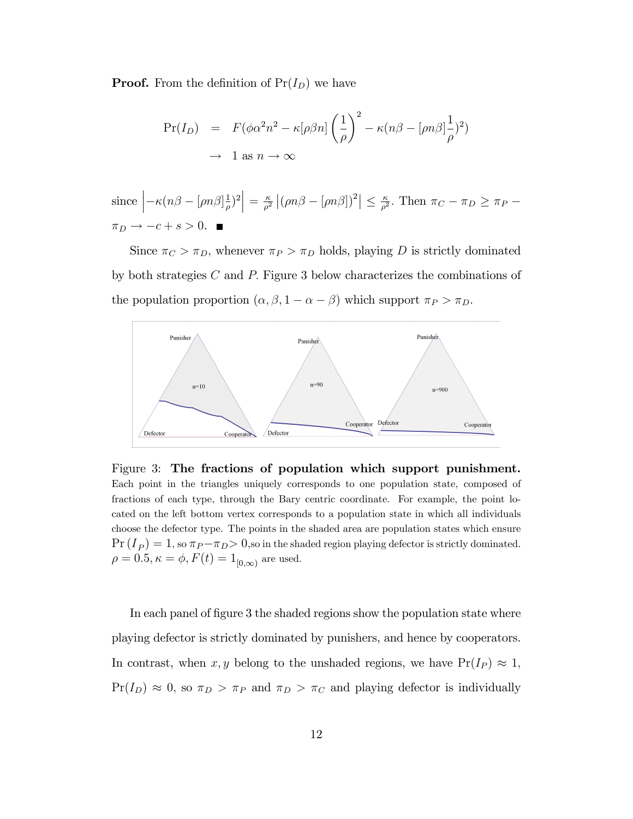**Proof.** From the definition of  $Pr(I_D)$  we have

$$
\Pr(I_D) = F(\phi \alpha^2 n^2 - \kappa [\rho \beta n] \left(\frac{1}{\rho}\right)^2 - \kappa (n\beta - [\rho n\beta] \frac{1}{\rho})^2)
$$
  

$$
\to 1 \text{ as } n \to \infty
$$

since 
$$
\left| -\kappa (n\beta - \left[ \rho n \beta \right]_{\rho}^{1})^{2} \right| = \frac{\kappa}{\rho^{2}} \left| (\rho n\beta - \left[ \rho n \beta \right] )^{2} \right| \leq \frac{\kappa}{\rho^{2}}.
$$
 Then  $\pi_{C} - \pi_{D} \geq \pi_{P} - \pi_{D} \to -c + s > 0.$ 

Since  $\pi_C > \pi_D$ , whenever  $\pi_P > \pi_D$  holds, playing D is strictly dominated by both strategies  $C$  and  $P$ . Figure 3 below characterizes the combinations of the population proportion  $(\alpha, \beta, 1 - \alpha - \beta)$  which support  $\pi_P > \pi_D$ .

![](_page_13_Figure_4.jpeg)

Figure 3: The fractions of population which support punishment. Each point in the triangles uniquely corresponds to one population state, composed of fractions of each type, through the Bary centric coordinate. For example, the point located on the left bottom vertex corresponds to a population state in which all individuals choose the defector type. The points in the shaded area are population states which ensure  $\Pr(I_P) = 1$ , so  $\pi_P - \pi_D > 0$ , so in the shaded region playing defector is strictly dominated.  $\rho = 0.5, \kappa = \phi, F(t) = 1_{[0,\infty)}$  are used.

In each panel of figure 3 the shaded regions show the population state where playing defector is strictly dominated by punishers, and hence by cooperators. In contrast, when x, y belong to the unshaded regions, we have  $Pr(I_P) \approx 1$ ,  $Pr(I_D) \approx 0$ , so  $\pi_D > \pi_P$  and  $\pi_D > \pi_C$  and playing defector is individually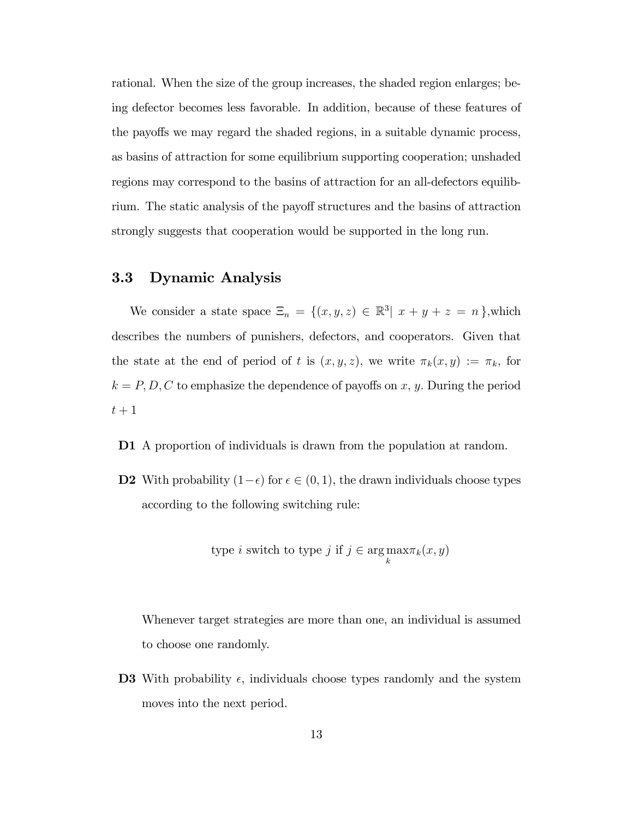rational. When the size of the group increases, the shaded region enlarges; being defector becomes less favorable. In addition, because of these features of the payoffs we may regard the shaded regions, in a suitable dynamic process, as basins of attraction for some equilibrium supporting cooperation; unshaded regions may correspond to the basins of attraction for an all-defectors equilibrium. The static analysis of the payoff structures and the basins of attraction strongly suggests that cooperation would be supported in the long run.

#### 3.3 Dynamic Analysis

We consider a state space  $\Xi_n = \{(x, y, z) \in \mathbb{R}^3 | x + y + z = n\}$ , which describes the numbers of punishers, defectors, and cooperators. Given that the state at the end of period of t is  $(x, y, z)$ , we write  $\pi_k(x, y) := \pi_k$ , for  $k = P, D, C$  to emphasize the dependence of payoffs on x, y. During the period  $t+1$ 

D1 A proportion of individuals is drawn from the population at random.

**D2** With probability  $(1 - \epsilon)$  for  $\epsilon \in (0, 1)$ , the drawn individuals choose types according to the following switching rule:

type *i* switch to type *j* if 
$$
j \in \arg \max_{k} \pi_k(x, y)
$$

Whenever target strategies are more than one, an individual is assumed to choose one randomly.

**D3** With probability  $\epsilon$ , individuals choose types randomly and the system moves into the next period.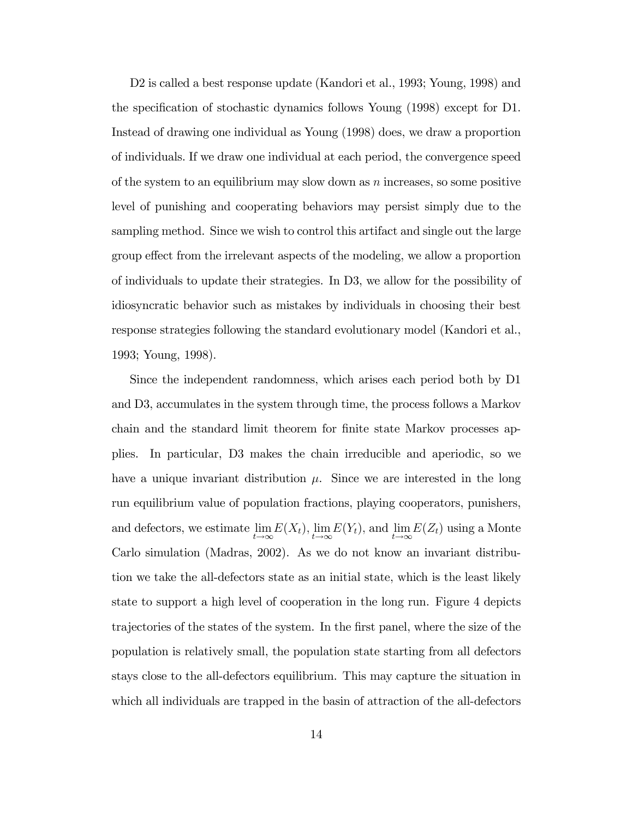D2 is called a best response update (Kandori et al., 1993; Young, 1998) and the specification of stochastic dynamics follows Young (1998) except for D1. Instead of drawing one individual as Young (1998) does, we draw a proportion of individuals. If we draw one individual at each period, the convergence speed of the system to an equilibrium may slow down as  $n$  increases, so some positive level of punishing and cooperating behaviors may persist simply due to the sampling method. Since we wish to control this artifact and single out the large group effect from the irrelevant aspects of the modeling, we allow a proportion of individuals to update their strategies. In D3, we allow for the possibility of idiosyncratic behavior such as mistakes by individuals in choosing their best response strategies following the standard evolutionary model (Kandori et al., 1993; Young, 1998).

Since the independent randomness, which arises each period both by D1 and D3, accumulates in the system through time, the process follows a Markov chain and the standard limit theorem for finite state Markov processes applies. In particular, D3 makes the chain irreducible and aperiodic, so we have a unique invariant distribution  $\mu$ . Since we are interested in the long run equilibrium value of population fractions, playing cooperators, punishers, and defectors, we estimate lim  $t{\rightarrow}\infty$  $E(X_t)$ , lim  $t{\rightarrow}\infty$  $E(Y_t)$ , and lim  $t{\rightarrow}\infty$  $E(Z_t)$  using a Monte Carlo simulation (Madras, 2002). As we do not know an invariant distribution we take the all-defectors state as an initial state, which is the least likely state to support a high level of cooperation in the long run. Figure 4 depicts trajectories of the states of the system. In the first panel, where the size of the population is relatively small, the population state starting from all defectors stays close to the all-defectors equilibrium. This may capture the situation in which all individuals are trapped in the basin of attraction of the all-defectors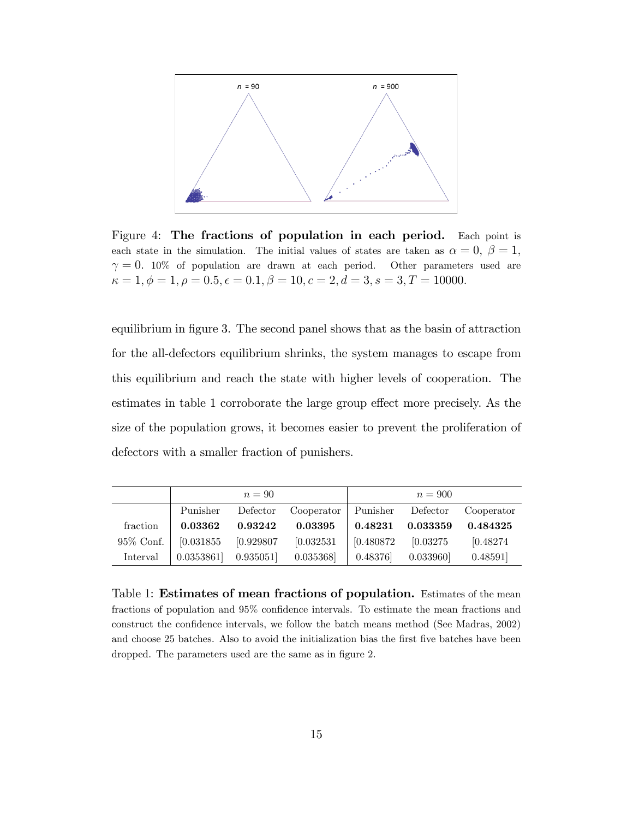![](_page_16_Figure_0.jpeg)

Figure 4: The fractions of population in each period. Each point is each state in the simulation. The initial values of states are taken as  $\alpha = 0, \beta = 1$ ,  $\gamma = 0.$  10% of population are drawn at each period. Other parameters used are  $\kappa = 1, \phi = 1, \rho = 0.5, \epsilon = 0.1, \beta = 10, c = 2, d = 3, s = 3, T = 10000.$ 

equilibrium in figure 3. The second panel shows that as the basin of attraction for the all-defectors equilibrium shrinks, the system manages to escape from this equilibrium and reach the state with higher levels of cooperation. The estimates in table 1 corroborate the large group effect more precisely. As the size of the population grows, it becomes easier to prevent the proliferation of defectors with a smaller fraction of punishers.

|          |                                              | $n=90$                        |                                                                  |                                                    | $n = 900$                                                               |                 |
|----------|----------------------------------------------|-------------------------------|------------------------------------------------------------------|----------------------------------------------------|-------------------------------------------------------------------------|-----------------|
|          |                                              |                               | Punisher Defector Cooperator Punisher Defector Cooperator        |                                                    |                                                                         |                 |
| fraction |                                              | $0.03362$ $0.93242$ $0.03395$ |                                                                  |                                                    | $\begin{array}{ c c c } \hline 0.48231 & 0.033359 \ \hline \end{array}$ | $\, 0.484325\,$ |
|          | 95\% Conf.   [0.031855   0.929807   0.032531 |                               |                                                                  | $\begin{bmatrix} 0.480872 & 0.03275 \end{bmatrix}$ |                                                                         | [0.48274]       |
| Interval |                                              |                               | $[0.0353861]$ $[0.935051]$ $[0.035368]$ $[0.48376]$ $[0.033960]$ |                                                    |                                                                         | 0.48591         |

Table 1: Estimates of mean fractions of population. Estimates of the mean fractions of population and 95% confidence intervals. To estimate the mean fractions and construct the confidence intervals, we follow the batch means method (See Madras, 2002) and choose 25 batches. Also to avoid the initialization bias the first five batches have been dropped. The parameters used are the same as in figure 2.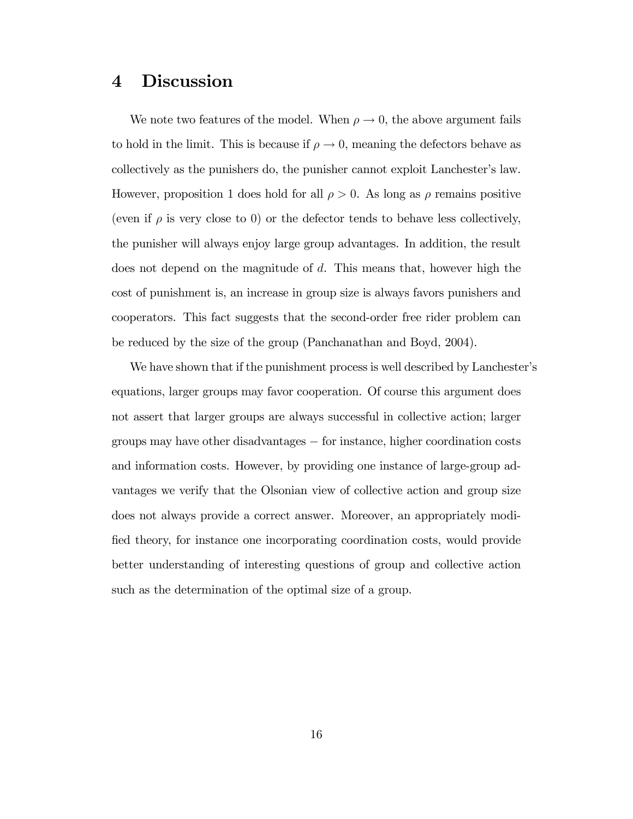### 4 Discussion

We note two features of the model. When  $\rho \to 0$ , the above argument fails to hold in the limit. This is because if  $\rho \to 0$ , meaning the defectors behave as collectively as the punishers do, the punisher cannot exploit Lanchester's law. However, proposition 1 does hold for all  $\rho > 0$ . As long as  $\rho$  remains positive (even if  $\rho$  is very close to 0) or the defector tends to behave less collectively, the punisher will always enjoy large group advantages. In addition, the result does not depend on the magnitude of d. This means that, however high the cost of punishment is, an increase in group size is always favors punishers and cooperators. This fact suggests that the second-order free rider problem can be reduced by the size of the group (Panchanathan and Boyd, 2004).

We have shown that if the punishment process is well described by Lanchester's equations, larger groups may favor cooperation. Of course this argument does not assert that larger groups are always successful in collective action; larger groups may have other disadvantages – for instance, higher coordination costs and information costs. However, by providing one instance of large-group advantages we verify that the Olsonian view of collective action and group size does not always provide a correct answer. Moreover, an appropriately modified theory, for instance one incorporating coordination costs, would provide better understanding of interesting questions of group and collective action such as the determination of the optimal size of a group.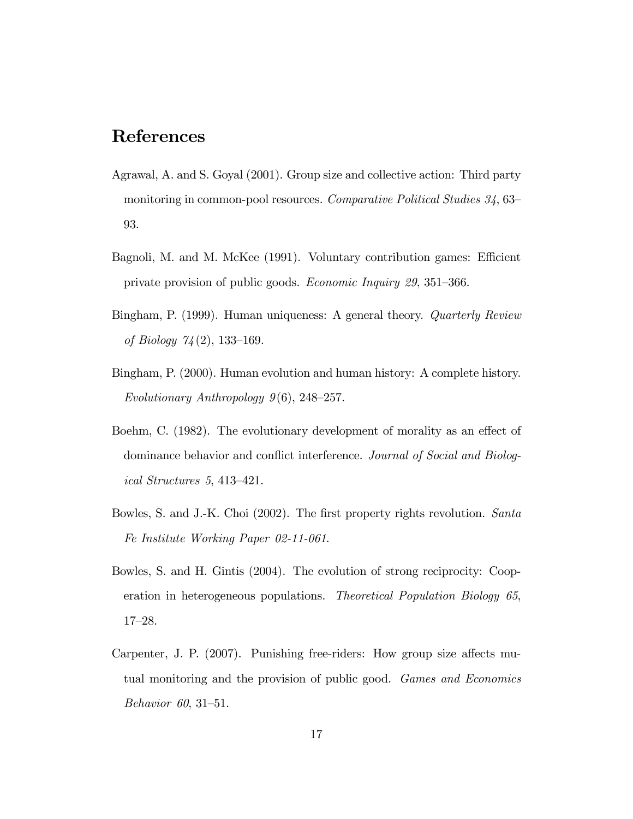## References

- Agrawal, A. and S. Goyal (2001). Group size and collective action: Third party monitoring in common-pool resources. Comparative Political Studies  $34,63$ 93.
- Bagnoli, M. and M. McKee (1991). Voluntary contribution games: Efficient private provision of public goods. *Economic Inquiry 29*,  $351-366$ .
- Bingham, P. (1999). Human uniqueness: A general theory. Quarterly Review of Biology  $74(2)$ , 133-169.
- Bingham, P. (2000). Human evolution and human history: A complete history. Evolutionary Anthropology  $9(6)$ , 248–257.
- Boehm, C. (1982). The evolutionary development of morality as an effect of dominance behavior and conflict interference. Journal of Social and Biological Structures  $5, 413-421$ .
- Bowles, S. and J.-K. Choi (2002). The first property rights revolution. Santa Fe Institute Working Paper 02-11-061.
- Bowles, S. and H. Gintis (2004). The evolution of strong reciprocity: Cooperation in heterogeneous populations. Theoretical Population Biology 65,  $17 - 28$ .
- Carpenter, J. P. (2007). Punishing free-riders: How group size affects mutual monitoring and the provision of public good. Games and Economics Behavior 60, 31–51.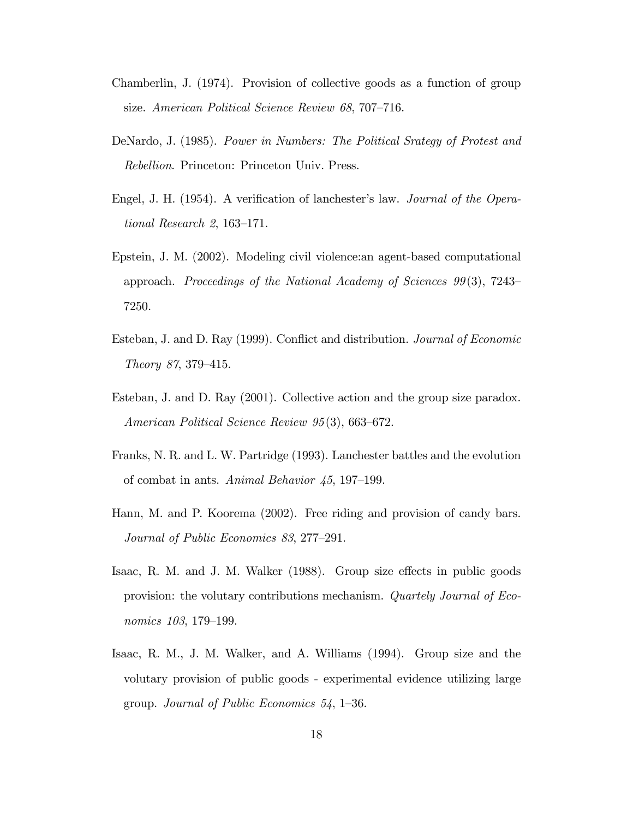- Chamberlin, J. (1974). Provision of collective goods as a function of group size. American Political Science Review 68, 707-716.
- DeNardo, J. (1985). Power in Numbers: The Political Srategy of Protest and Rebellion. Princeton: Princeton Univ. Press.
- Engel, J. H. (1954). A verification of lanchester's law. *Journal of the Opera*tional Research 2,  $163-171$ .
- Epstein, J. M. (2002). Modeling civil violence:an agent-based computational approach. Proceedings of the National Academy of Sciences  $99(3)$ , 7243– 7250.
- Esteban, J. and D. Ray (1999). Conflict and distribution. *Journal of Economic* Theory 87, 379–415.
- Esteban, J. and D. Ray (2001). Collective action and the group size paradox. American Political Science Review  $95(3)$ , 663–672.
- Franks, N. R. and L. W. Partridge (1993). Lanchester battles and the evolution of combat in ants. Animal Behavior  $45, 197-199$ .
- Hann, M. and P. Koorema (2002). Free riding and provision of candy bars. Journal of Public Economics 83, 277-291.
- Isaac, R. M. and J. M. Walker (1988). Group size effects in public goods provision: the volutary contributions mechanism. Quartely Journal of Economics 103, 179-199.
- Isaac, R. M., J. M. Walker, and A. Williams (1994). Group size and the volutary provision of public goods - experimental evidence utilizing large group. Journal of Public Economics  $54$ , 1–36.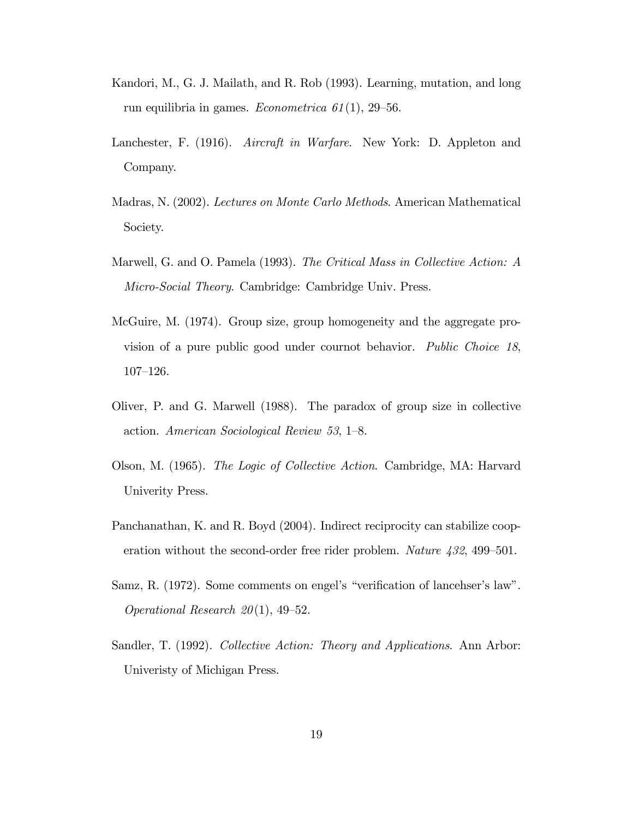- Kandori, M., G. J. Mailath, and R. Rob (1993). Learning, mutation, and long run equilibria in games. *Econometrica*  $61(1)$ , 29–56.
- Lanchester, F. (1916). Aircraft in Warfare. New York: D. Appleton and Company.
- Madras, N. (2002). Lectures on Monte Carlo Methods. American Mathematical Society.
- Marwell, G. and O. Pamela (1993). The Critical Mass in Collective Action: A Micro-Social Theory. Cambridge: Cambridge Univ. Press.
- McGuire, M. (1974). Group size, group homogeneity and the aggregate provision of a pure public good under cournot behavior. Public Choice 18,  $107 - 126$ .
- Oliver, P. and G. Marwell (1988). The paradox of group size in collective action. American Sociological Review 53, 1–8.
- Olson, M. (1965). The Logic of Collective Action. Cambridge, MA: Harvard Univerity Press.
- Panchanathan, K. and R. Boyd (2004). Indirect reciprocity can stabilize cooperation without the second-order free rider problem. Nature  $432, 499-501$ .
- Samz, R. (1972). Some comments on engel's "verification of lancehser's law". *Operational Research 20*(1), 49–52.
- Sandler, T. (1992). Collective Action: Theory and Applications. Ann Arbor: Univeristy of Michigan Press.